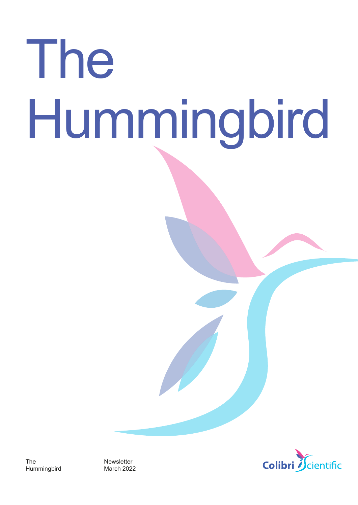# The Hummingbird

The **Hummingbird**  **Newsletter** March 2022

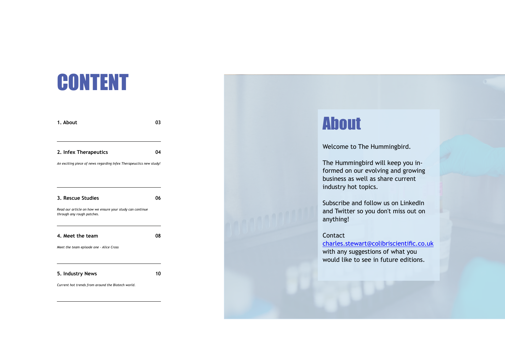| 1. About                                                                                | 03 |
|-----------------------------------------------------------------------------------------|----|
| 2. Infex Therapeutics                                                                   | 04 |
| An exciting piece of news regarding Infex Therapeuctics new study!                      |    |
| 3. Rescue Studies                                                                       | 06 |
| Read our article on how we ensure your study can continue<br>through any rough patches. |    |
| 4. Meet the team                                                                        | 08 |
| Meet the team episode one - Alice Cross                                                 |    |
| 5. Industry News                                                                        | 10 |
| Current hot trends from around the Biotech world.                                       |    |

## CONTENT

Welcome to The Hummingbird.

The Hummingbird will keep you informed on our evolving and growing business as well as share current industry hot topics.

Subscribe and follow us on LinkedIn and Twitter so you don't miss out on anything!

Contact [charles.stewart@colibriscientific.co.uk](mailto:charles.stewart@colibriscientific.co.uk) with any suggestions of what you would like to see in future editions.

## About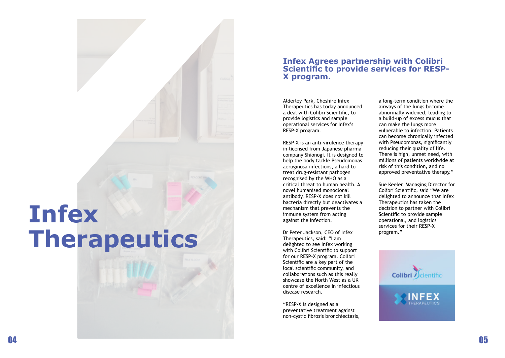## **Infex Therapeutics**

### **Infex Agrees partnership with Colibri Scientific to provide services for RESP-X program.**

Alderley Park, Cheshire Infex Therapeutics has today announced a deal with Colibri Scientific, to provide logistics and sample operational services for Infex's RESP-X program.

RESP-X is an anti-virulence therapy in-licensed from Japanese pharma company Shionogi. It is designed to help the body tackle Pseudomonas aeruginosa infections, a hard to treat drug-resistant pathogen recognised by the WHO as a critical threat to human health. A novel humanised monoclonal antibody, RESP-X does not kill bacteria directly but deactivates a mechanism that prevents the immune system from acting against the infection.

Dr Peter Jackson, CEO of Infex Therapeutics, said: "I am delighted to see Infex working with Colibri Scientific to support for our RESP-X program. Colibri Scientific are a key part of the local scientific community, and collaborations such as this really showcase the North West as a UK centre of excellence in infectious disease research.

"RESP-X is designed as a preventative treatment against non-cystic fibrosis bronchiectasis,

a long-term condition where the airways of the lungs become abnormally widened, leading to a build-up of excess mucus that can make the lungs more vulnerable to infection. Patients can become chronically infected with Pseudomonas, significantly reducing their quality of life. There is high, unmet need, with millions of patients worldwide at risk of this condition, and no approved preventative therapy."

Sue Keeler, Managing Director for Colibri Scientific, said "We are delighted to announce that Infex Therapeutics has taken the decision to partner with Colibri Scientific to provide sample operational, and logistics services for their RESP-X program."



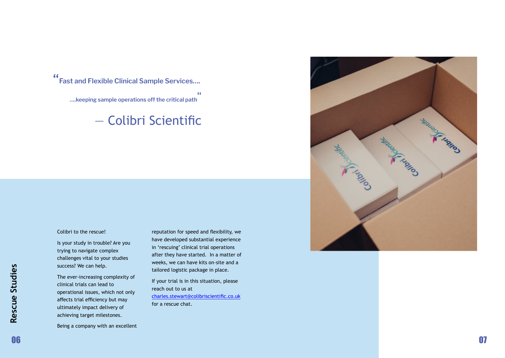" **Fast and Flexible Clinical Sample Services….**

**….keeping sample operations off the critical path** "

### — Colibri Scientific

reputation for speed and flexibility, we have developed substantial experience in 'rescuing' clinical trial operations after they have started. In a matter of weeks, we can have kits on-site and a tailored logistic package in place.

If your trial is in this situation, please reach out to us at [charles.stewart@colibriscientific.co.uk](mailto:charles.stewart@colibriscientific.co.uk) for a rescue chat.



### Colibri to the rescue!

Is your study in trouble? Are you trying to navigate complex challenges vital to your studies success? We can help.

The ever-increasing complexity of clinical trials can lead to operational issues, which not only affects trial efficiency but may ultimately impact delivery of achieving target milestones.

Being a company with an excellent

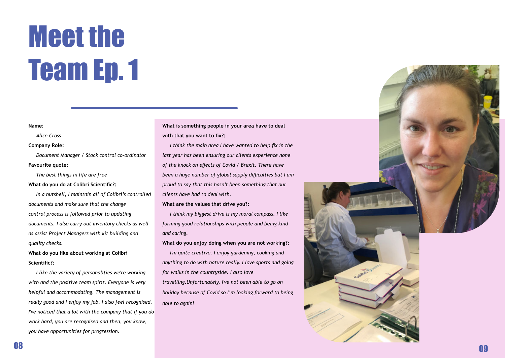

## Meet the Team Ep. 1

### **Name:**

*Alice Cross*

### **Company Role:**

*Document Manager / Stock control co-ordinator* **Favourite quote:**

*The best things in life are free*

**What do you do at Colibri Scientific?:**

*In a nutshell, I maintain all of Colibri's controlled documents and make sure that the change control process is followed prior to updating documents. I also carry out inventory checks as well as assist Project Managers with kit building and quality checks.*

**What do you like about working at Colibri Scientific?:**

*I like the variety of personalities we're working with and the positive team spirit. Everyone is very helpful and accommodating. The management is really good and I enjoy my job. I also feel recognised. I've noticed that a lot with the company that if you do work hard, you are recognised and then, you know, you have opportunities for progression.*

**What is something people in your area have to deal with that you want to fix?:**

*I think the main area I have wanted to help fix in the last year has been ensuring our clients experience none of the knock on effects of Covid / Brexit. There have been a huge number of global supply difficulties but I am proud to say that this hasn't been something that our clients have had to deal with.*

### **What are the values that drive you?:**

*I think my biggest drive is my moral compass. I like forming good relationships with people and being kind and caring.*

**What do you enjoy doing when you are not working?:**

*I'm quite creative. I enjoy gardening, cooking and anything to do with nature really. I love sports and going for walks in the countryside. I also love travelling.Unfortunately, I've not been able to go on holiday because of Covid so I'm looking forward to being able to again!*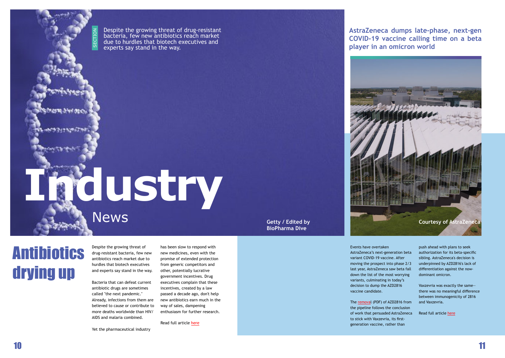push ahead with plans to seek authorization for its beta-specific sibling. AstraZeneca's decision is underpinned by AZD2816's lack of differentiation against the nowdominant omicron.

Vaxzevria was exactly the same there was no meaningful difference between immunogenicity of 2816 and Vaxzevria.

Read full article [here](https://www.fiercebiotech.com/biotech/astrazeneca-dumps-late-phase-next-gen-covid-19-vaccine-calling-time-a-beta-player-omicron)

The **[remova](https://www.astrazeneca.com/content/dam/az/PDF/2021/full-year/Full-year-2021-results-clinical-trials-appendix.pdf)l** (PDF) of AZD2816 from the pipeline follows the conclusion of work that persuaded AstraZeneca to stick with Vaxzevria, its firstgeneration vaccine, rather than

Events have overtaken AstraZeneca's next-generation beta variant COVID-19 vaccine. After moving the prospect into phase 2/3 last year, AstraZeneca saw beta fall down the list of the most worrying variants, culminating in today's decision to dump the AZD2816 vaccine candidate.



### **AstraZeneca dumps late-phase, next-gen COVID-19 vaccine calling time on a beta player in an omicron world**

## **Antibiotics** drying up

# **News Industry**

### **Getty / Edited by BioPharma Dive**

has been slow to respond with

new medicines, even with the promise of extended protection from generic competitors and other, potentially lucrative government incentives. Drug executives complain that these incentives, created by a law passed a decade ago, don't help new antibiotics earn much in the way of sales, dampening enthusiasm for further research.

Read full article [here](https://www.biopharmadive.com/news/the-pipeline-of-new-antibiotics-is-drying-up-a-bill-in-congress-aims-to-ch/618076/)

Despite the growing threat of drug-resistant bacteria, few new antibiotics reach market due to hurdles that biotech executives and experts say stand in the way.

Bacteria that can defeat current antibiotic drugs are sometimes called "the next pandemic." Already, infections from them are believed to cause or contribute to more deaths worldwide than HIV/ AIDS and malaria combined.

Yet the pharmaceutical industry

Despite the growing threat of drug-resistant bacteria, few new antibiotics reach market due to hurdles that biotech executives and experts say stand in the way.

SECTION